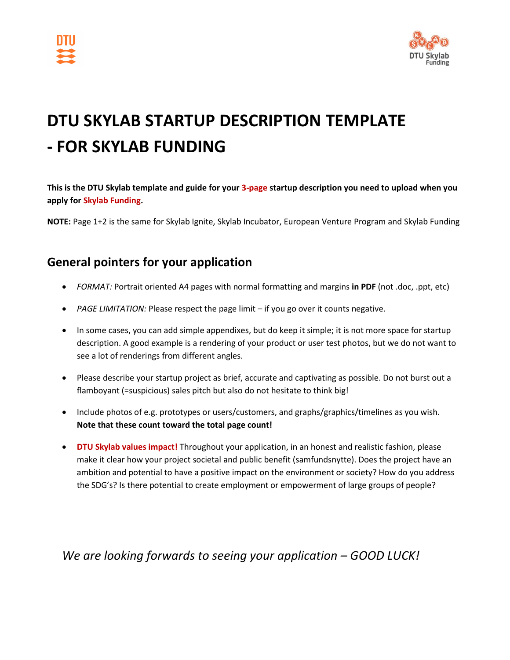



# **DTU SKYLAB STARTUP DESCRIPTION TEMPLATE - FOR SKYLAB FUNDING**

**This is the DTU Skylab template and guide for your 3-page startup description you need to upload when you apply for Skylab Funding.**

**NOTE:** Page 1+2 is the same for Skylab Ignite, Skylab Incubator, European Venture Program and Skylab Funding

### **General pointers for your application**

- *FORMAT:* Portrait oriented A4 pages with normal formatting and margins **in PDF** (not .doc, .ppt, etc)
- *PAGE LIMITATION:* Please respect the page limit if you go over it counts negative.
- In some cases, you can add simple appendixes, but do keep it simple; it is not more space for startup description. A good example is a rendering of your product or user test photos, but we do not want to see a lot of renderings from different angles.
- Please describe your startup project as brief, accurate and captivating as possible. Do not burst out a flamboyant (=suspicious) sales pitch but also do not hesitate to think big!
- Include photos of e.g. prototypes or users/customers, and graphs/graphics/timelines as you wish. **Note that these count toward the total page count!**
- **DTU Skylab values impact!** Throughout your application, in an honest and realistic fashion, please make it clear how your project societal and public benefit (samfundsnytte). Does the project have an ambition and potential to have a positive impact on the environment or society? How do you address the SDG's? Is there potential to create employment or empowerment of large groups of people?

*We are looking forwards to seeing your application – GOOD LUCK!*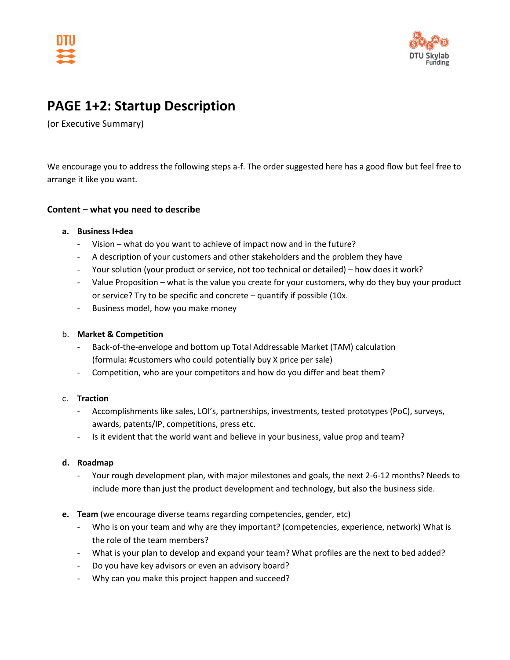



### **PAGE 1+2: Startup Description**

(or Executive Summary)

We encourage you to address the following steps a-f. The order suggested here has a good flow but feel free to arrange it like you want.

#### **Content – what you need to describe**

#### **a. Business I+dea**

- Vision what do you want to achieve of impact now and in the future?
- A description of your customers and other stakeholders and the problem they have
- Your solution (your product or service, not too technical or detailed) how does it work?
- Value Proposition what is the value you create for your customers, why do they buy your product or service? Try to be specific and concrete – quantify if possible (10x.
- Business model, how you make money

#### b. **Market & Competition**

- Back-of-the-envelope and bottom up Total Addressable Market (TAM) calculation (formula: #customers who could potentially buy X price per sale)
- Competition, who are your competitors and how do you differ and beat them?

#### c. **Traction**

- Accomplishments like sales, LOI's, partnerships, investments, tested prototypes (PoC), surveys, awards, patents/IP, competitions, press etc.
- Is it evident that the world want and believe in your business, value prop and team?

#### **d. Roadmap**

- Your rough development plan, with major milestones and goals, the next 2-6-12 months? Needs to include more than just the product development and technology, but also the business side.
- **e. Team** (we encourage diverse teams regarding competencies, gender, etc)
	- Who is on your team and why are they important? (competencies, experience, network) What is the role of the team members?
	- What is your plan to develop and expand your team? What profiles are the next to bed added?
	- Do you have key advisors or even an advisory board?
	- Why can you make this project happen and succeed?